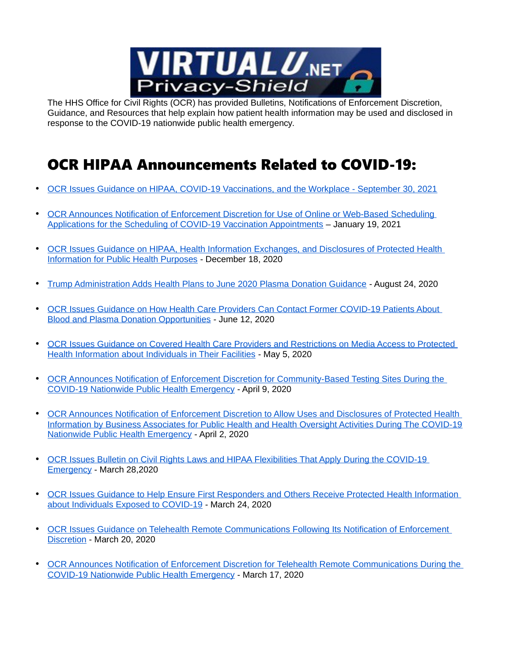

The HHS Office for Civil Rights (OCR) has provided Bulletins, Notifications of Enforcement Discretion, Guidance, and Resources that help explain how patient health information may be used and disclosed in response to the COVID-19 nationwide public health emergency.

## OCR HIPAA Announcements Related to COVID-19:

- [OCR Issues Guidance on HIPAA, COVID-19 Vaccinations, and the Workplace September 30, 2021](https://www.hhs.gov/about/news/2021/09/30/ocr-issues-guidance-on-hipaa-covid-19-vaccinations-workplace.html)
- OCR Announces Notification of Enforcement Discretion for Use of Online or Web-Based Scheduling [Applications for the Scheduling of COVID-19 Vaccination Appointments](https://www.hhs.gov/about/news/2021/01/19/ocr-announces-notification-enforcement-discretion-use-online-web-based-scheduling-applications-scheduling-covid-19-vaccination-appointments.html) – January 19, 2021
- [OCR Issues Guidance on HIPAA, Health Information Exchanges, and Disclosures of Protected Health](https://www.hhs.gov/about/news/2020/12/18/ocr-issues-guidance-on-hie-and-disclosures-of-protected-health-information-for-public-health-purposes.html)  [Information for Public Health Purposes](https://www.hhs.gov/about/news/2020/12/18/ocr-issues-guidance-on-hie-and-disclosures-of-protected-health-information-for-public-health-purposes.html) - December 18, 2020
- [Trump Administration Adds Health Plans to June 2020 Plasma Donation Guidance](https://www.hhs.gov/about/news/2020/08/24/trump-administration-adds-health-plans-to-june-2020-plasma-donation-guidance.html) August 24, 2020
- [OCR Issues Guidance on How Health Care Providers Can Contact Former COVID-19 Patients About](https://www.hhs.gov/about/news/2020/06/12/guidance-on-hipaa-and-contacting-former-covid-19-patients-about-blood-and-plasma-donation.html)  [Blood and Plasma Donation Opportunities](https://www.hhs.gov/about/news/2020/06/12/guidance-on-hipaa-and-contacting-former-covid-19-patients-about-blood-and-plasma-donation.html) - June 12, 2020
- [OCR Issues Guidance on Covered Health Care Providers and Restrictions on Media Access to Protected](https://www.hhs.gov/about/news/2020/05/05/ocr-issues-guidance-covered-health-care-poviders-restrictions-media-access-protected-health-information-individuals-facilities.html)  [Health Information about Individuals in Their Facilities](https://www.hhs.gov/about/news/2020/05/05/ocr-issues-guidance-covered-health-care-poviders-restrictions-media-access-protected-health-information-individuals-facilities.html) - May 5, 2020
- [OCR Announces Notification of Enforcement Discretion for Community-Based Testing Sites During the](https://www.hhs.gov/about/news/2020/04/09/ocr-announces-notification-enforcement-discretion-community-based-testing-sites-during-covid-19.html)  [COVID-19 Nationwide Public Health Emergency](https://www.hhs.gov/about/news/2020/04/09/ocr-announces-notification-enforcement-discretion-community-based-testing-sites-during-covid-19.html) - April 9, 2020
- [OCR Announces Notification of Enforcement Discretion to Allow Uses and Disclosures of Protected Health](https://www.hhs.gov/about/news/2020/04/02/ocr-announces-notification-of-enforcement-discretion.html)  [Information by Business Associates for Public Health and Health Oversight Activities During The COVID-19](https://www.hhs.gov/about/news/2020/04/02/ocr-announces-notification-of-enforcement-discretion.html) [Nationwide Public Health Emergency](https://www.hhs.gov/about/news/2020/04/02/ocr-announces-notification-of-enforcement-discretion.html) - April 2, 2020
- [OCR Issues Bulletin on Civil Rights Laws and HIPAA Flexibilities That Apply During the COVID-19](https://www.hhs.gov/about/news/2020/03/28/ocr-issues-bulletin-on-civil-rights-laws-and-hipaa-flexibilities-that-apply-during-the-covid-19-emergency.html)  [Emergency](https://www.hhs.gov/about/news/2020/03/28/ocr-issues-bulletin-on-civil-rights-laws-and-hipaa-flexibilities-that-apply-during-the-covid-19-emergency.html) - March 28,2020
- [OCR Issues Guidance to Help Ensure First Responders and Others Receive Protected Health Information](https://www.hhs.gov/about/news/2020/03/24/ocr-issues-guidance-to-help-ensure-first-responders-and-others-receive-protected-health-information-about-individuals-exposed-to-covid-19.html)  [about Individuals Exposed to COVID-19](https://www.hhs.gov/about/news/2020/03/24/ocr-issues-guidance-to-help-ensure-first-responders-and-others-receive-protected-health-information-about-individuals-exposed-to-covid-19.html) - March 24, 2020
- [OCR Issues Guidance on Telehealth Remote Communications Following Its Notification of Enforcement](https://www.hhs.gov/about/news/2020/03/20/ocr-issues-guidance-on-telehealth-remote-communications-following-its-notification-of-enforcement-discretion.html)  [Discretion](https://www.hhs.gov/about/news/2020/03/20/ocr-issues-guidance-on-telehealth-remote-communications-following-its-notification-of-enforcement-discretion.html) - March 20, 2020
- [OCR Announces Notification of Enforcement Discretion for Telehealth Remote Communications During the](https://www.hhs.gov/about/news/2020/03/17/ocr-announces-notification-of-enforcement-discretion-for-telehealth-remote-communications-during-the-covid-19.html)  [COVID-19 Nationwide Public Health Emergency](https://www.hhs.gov/about/news/2020/03/17/ocr-announces-notification-of-enforcement-discretion-for-telehealth-remote-communications-during-the-covid-19.html) - March 17, 2020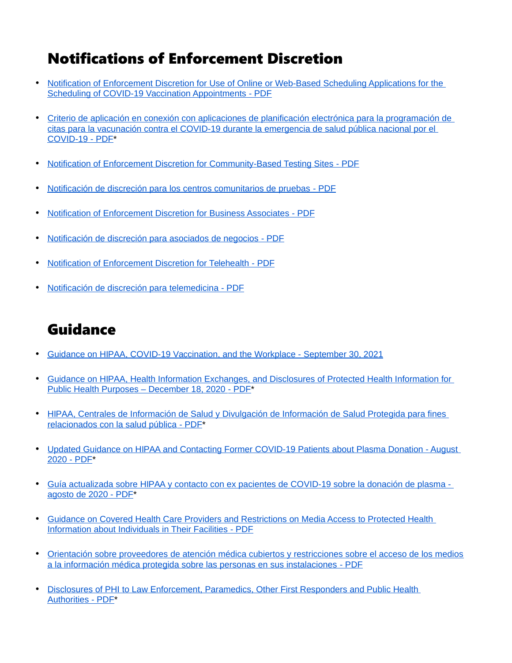### Notifications of Enforcement Discretion

- [Notification of Enforcement Discretion for Use of Online or Web-Based Scheduling Applications for the](https://www.govinfo.gov/content/pkg/FR-2021-02-24/pdf/2021-03348.pdf)   [Scheduling of COVID-19 Vaccination Appointments](https://www.govinfo.gov/content/pkg/FR-2021-02-24/pdf/2021-03348.pdf) - PDF
- [Criterio de aplicación en conexión con aplicaciones de planificación electrónica para la programación de](https://www.hhs.gov/sites/default/files/wbsa-ned-spanish.pdf)  [citas para la vacunación contra el COVID-19 durante la emergencia de salud pública nacional por el](https://www.hhs.gov/sites/default/files/wbsa-ned-spanish.pdf)   [COVID-19](https://www.hhs.gov/sites/default/files/wbsa-ned-spanish.pdf) - PDF\*
- • [Notification of Enforcement Discretion for Community-Based Testing Sites](https://www.govinfo.gov/content/pkg/FR-2020-05-18/pdf/2020-09099.pdf) PDF
- • [Notificación de discreción para los centros comunitarios de pruebas](https://www.hhs.gov/sites/default/files/notificacion-de-discrecion-para-los-centros-comunitarios-de-pruebas.pdf) PDF
- • [Notification of Enforcement Discretion for Business Associates](https://www.govinfo.gov/content/pkg/FR-2020-04-07/pdf/2020-07268.pdf) PDF
- • [Notificación de discreción para asociados de negocios](https://www.hhs.gov/sites/default/files/notificacion-de-discrecion-para-asociados-de-negocios.pdf) PDF
- • [Notification of Enforcement Discretion for Telehealth](https://www.govinfo.gov/content/pkg/FR-2020-04-21/pdf/2020-08416.pdf) PDF
- • [Notificación de discreción para telemedicina](https://www.hhs.gov/sites/default/files/notificacion-de-discrecion-para-telemedicina.pdf) PDF

# Guidance

- • [Guidance on HIPAA, COVID-19 Vaccination, and the Workplace -](https://www.hhs.gov/hipaa/for-professionals/privacy/guidance/hipaa-covid-19-vaccination-workplace/index.html) September 30, 2021
- [Guidance on HIPAA, Health Information Exchanges, and Disclosures of Protected Health Information for](https://www.hhs.gov/sites/default/files/hie-faqs.pdf)   [Public Health Purposes – December 18, 2020](https://www.hhs.gov/sites/default/files/hie-faqs.pdf) - PDF\*
- [HIPAA, Centrales de Información de Salud y Divulgación de Información de Salud Protegida para fines](https://www.hhs.gov/sites/default/files/hie-faqs-spanish.pdf)   [relacionados con la salud pública](https://www.hhs.gov/sites/default/files/hie-faqs-spanish.pdf) - PDF\*
- [Updated Guidance on HIPAA and Contacting Former COVID-19 Patients about Plasma Donation August](https://www.hhs.gov/sites/default/files/guidance-on-hipaa-and-contacting-former-covid-19-patients-about-plasma-donation.pdf)  2020 [- PDF\\*](https://www.hhs.gov/sites/default/files/guidance-on-hipaa-and-contacting-former-covid-19-patients-about-plasma-donation.pdf)
- [Guía actualizada sobre HIPAA y contacto con ex pacientes de COVID-19 sobre la donación de plasma](https://www.hhs.gov/sites/default/files/gu%C3%ADa-actualizada-sobre-hipaa-y-contacto.pdf)   [agosto de 2020](https://www.hhs.gov/sites/default/files/gu%C3%ADa-actualizada-sobre-hipaa-y-contacto.pdf) - PDF\*
- [Guidance on Covered Health Care Providers and Restrictions on Media Access to Protected Health](https://www.hhs.gov/sites/default/files/guidance-on-media-and-film-crews-access-to-phi.pdf)   [Information about Individuals in Their Facilities](https://www.hhs.gov/sites/default/files/guidance-on-media-and-film-crews-access-to-phi.pdf) - PDF
- [Orientación sobre proveedores de atención médica cubiertos y restricciones sobre el acceso de los medios](https://www.hhs.gov/sites/default/files/guidance-on-media-and-film-crews-access-to-phi-spanish.pdf)  [a la información médica protegida sobre las personas en sus instalaciones](https://www.hhs.gov/sites/default/files/guidance-on-media-and-film-crews-access-to-phi-spanish.pdf) - PDF
- Disclosures of PHI to Law Enforcement, Paramedics, Other First Responders and Public Health  [Authorities](https://www.hhs.gov/sites/default/files/covid-19-hipaa-and-first-responders-508.pdf) - PDF\*